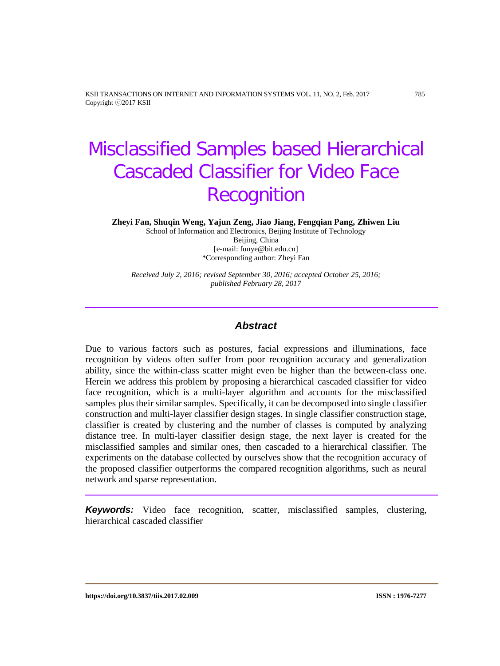KSII TRANSACTIONS ON INTERNET AND INFORMATION SYSTEMS VOL. 11, NO. 2, Feb. 2017 785 Copyright ⓒ2017 KSII

# Misclassified Samples based Hierarchical Cascaded Classifier for Video Face **Recognition**

**Zheyi Fan, Shuqin Weng, Yajun Zeng, Jiao Jiang, Fengqian Pang, Zhiwen Liu**

School of Information and Electronics, Beijing Institute of Technology Beijing, China [e-mail: funye@bit.edu.cn] \*Corresponding author: Zheyi Fan

*Received July 2, 2016; revised September 30, 2016; accepted October 25, 2016; published February 28, 2017*

# *Abstract*

Due to various factors such as postures, facial expressions and illuminations, face recognition by videos often suffer from poor recognition accuracy and generalization ability, since the within-class scatter might even be higher than the between-class one. Herein we address this problem by proposing a hierarchical cascaded classifier for video face recognition, which is a multi-layer algorithm and accounts for the misclassified samples plus their similar samples. Specifically, it can be decomposed into single classifier construction and multi-layer classifier design stages. In single classifier construction stage, classifier is created by clustering and the number of classes is computed by analyzing distance tree. In multi-layer classifier design stage, the next layer is created for the misclassified samples and similar ones, then cascaded to a hierarchical classifier. The experiments on the database collected by ourselves show that the recognition accuracy of the proposed classifier outperforms the compared recognition algorithms, such as neural network and sparse representation.

*Keywords:* Video face recognition, scatter, misclassified samples, clustering, hierarchical cascaded classifier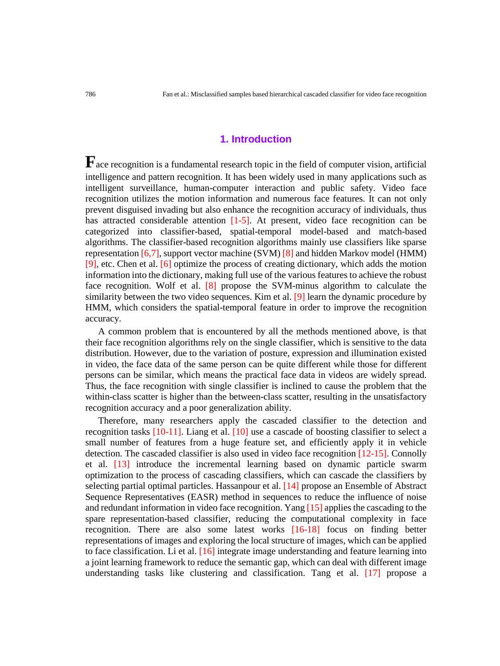# **1. Introduction**

**F** ace recognition is a fundamental research topic in the field of computer vision, artificial intelligence and pattern recognition. It has been widely used in many applications such as intelligent surveillance, human-computer interaction and public safety. Video face recognition utilizes the motion information and numerous face features. It can not only prevent disguised invading but also enhance the recognition accuracy of individuals, thus has attracted considerable attention [1-5]. At present, video face recognition can be categorized into classifier-based, spatial-temporal model-based and match-based algorithms. The classifier-based recognition algorithms mainly use classifiers like sparse representation [6,7], support vector machine (SVM) [8] and hidden Markov model (HMM) [9], etc. Chen et al. [6] optimize the process of creating dictionary, which adds the motion information into the dictionary, making full use of the various features to achieve the robust face recognition. Wolf et al. [8] propose the SVM-minus algorithm to calculate the similarity between the two video sequences. Kim et al. [9] learn the dynamic procedure by HMM, which considers the spatial-temporal feature in order to improve the recognition accuracy.

A common problem that is encountered by all the methods mentioned above, is that their face recognition algorithms rely on the single classifier, which is sensitive to the data distribution. However, due to the variation of posture, expression and illumination existed in video, the face data of the same person can be quite different while those for different persons can be similar, which means the practical face data in videos are widely spread. Thus, the face recognition with single classifier is inclined to cause the problem that the within-class scatter is higher than the between-class scatter, resulting in the unsatisfactory recognition accuracy and a poor generalization ability.

Therefore, many researchers apply the cascaded classifier to the detection and recognition tasks [10-11]. Liang et al. [10] use a cascade of boosting classifier to select a small number of features from a huge feature set, and efficiently apply it in vehicle detection. The cascaded classifier is also used in video face recognition [12-15]. Connolly et al. [13] introduce the incremental learning based on dynamic particle swarm optimization to the process of cascading classifiers, which can cascade the classifiers by selecting partial optimal particles. Hassanpour et al. [14] propose an Ensemble of Abstract Sequence Representatives (EASR) method in sequences to reduce the influence of noise and redundant information in video face recognition. Yang [15] applies the cascading to the spare representation-based classifier, reducing the computational complexity in face recognition. There are also some latest works [16-18] focus on finding better representations of images and exploring the local structure of images, which can be applied to face classification. Li et al.  $[16]$  integrate image understanding and feature learning into a joint learning framework to reduce the semantic gap, which can deal with different image understanding tasks like clustering and classification. Tang et al. [17] propose a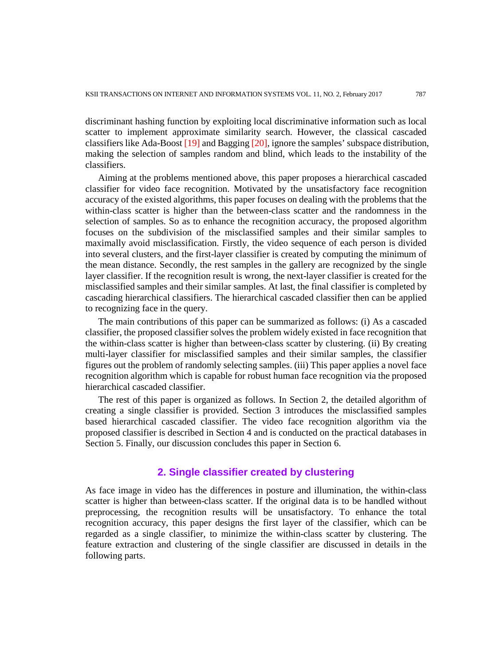discriminant hashing function by exploiting local discriminative information such as local scatter to implement approximate similarity search. However, the classical cascaded classifiers like Ada-Boost [19] and Bagging [20], ignore the samples' subspace distribution, making the selection of samples random and blind, which leads to the instability of the classifiers.

Aiming at the problems mentioned above, this paper proposes a hierarchical cascaded classifier for video face recognition. Motivated by the unsatisfactory face recognition accuracy of the existed algorithms, this paper focuses on dealing with the problems that the within-class scatter is higher than the between-class scatter and the randomness in the selection of samples. So as to enhance the recognition accuracy, the proposed algorithm focuses on the subdivision of the misclassified samples and their similar samples to maximally avoid misclassification. Firstly, the video sequence of each person is divided into several clusters, and the first-layer classifier is created by computing the minimum of the mean distance. Secondly, the rest samples in the gallery are recognized by the single layer classifier. If the recognition result is wrong, the next-layer classifier is created for the misclassified samples and their similar samples. At last, the final classifier is completed by cascading hierarchical classifiers. The hierarchical cascaded classifier then can be applied to recognizing face in the query.

The main contributions of this paper can be summarized as follows: (i) As a cascaded classifier, the proposed classifier solves the problem widely existed in face recognition that the within-class scatter is higher than between-class scatter by clustering. (ii) By creating multi-layer classifier for misclassified samples and their similar samples, the classifier figures out the problem of randomly selecting samples. (iii) This paper applies a novel face recognition algorithm which is capable for robust human face recognition via the proposed hierarchical cascaded classifier.

The rest of this paper is organized as follows. In Section 2, the detailed algorithm of creating a single classifier is provided. Section 3 introduces the misclassified samples based hierarchical cascaded classifier. The video face recognition algorithm via the proposed classifier is described in Section 4 and is conducted on the practical databases in Section 5. Finally, our discussion concludes this paper in Section 6.

# **2. Single classifier created by clustering**

As face image in video has the differences in posture and illumination, the within-class scatter is higher than between-class scatter. If the original data is to be handled without preprocessing, the recognition results will be unsatisfactory. To enhance the total recognition accuracy, this paper designs the first layer of the classifier, which can be regarded as a single classifier, to minimize the within-class scatter by clustering. The feature extraction and clustering of the single classifier are discussed in details in the following parts.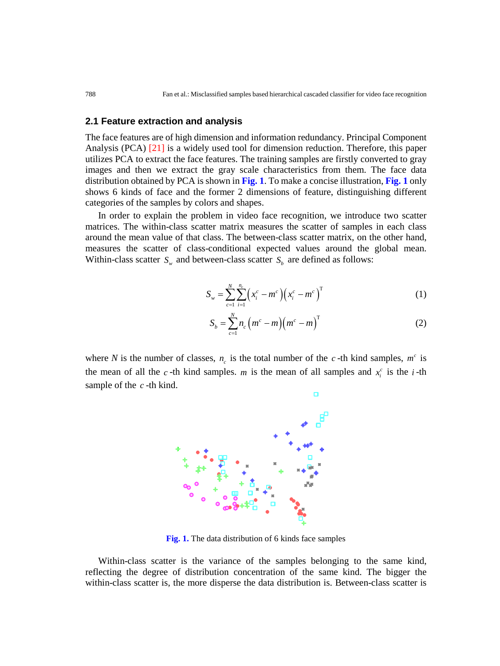## **2.1 Feature extraction and analysis**

The face features are of high dimension and information redundancy. Principal Component Analysis (PCA) [21] is a widely used tool for dimension reduction. Therefore, this paper utilizes PCA to extract the face features. The training samples are firstly converted to gray images and then we extract the gray scale characteristics from them. The face data distribution obtained by PCA is shown in **Fig. 1**. To make a concise illustration, **Fig. 1** only shows 6 kinds of face and the former 2 dimensions of feature, distinguishing different categories of the samples by colors and shapes.

In order to explain the problem in video face recognition, we introduce two scatter matrices. The within-class scatter matrix measures the scatter of samples in each class around the mean value of that class. The between-class scatter matrix, on the other hand, measures the scatter of class-conditional expected values around the global mean. Within-class scatter  $S_w$  and between-class scatter  $S_b$  are defined as follows:

$$
S_w = \sum_{c=1}^{N} \sum_{i=1}^{n_c} \left( x_i^c - m^c \right) \left( x_i^c - m^c \right)^T
$$
 (1)

$$
S_b = \sum_{c=1}^{N} n_c \left( m^c - m \right) \left( m^c - m \right)^T \tag{2}
$$

where *N* is the number of classes,  $n_c$  is the total number of the *c*-th kind samples,  $m^c$  is the mean of all the *c*-th kind samples. *m* is the mean of all samples and  $x_i^c$  is the *i*-th sample of the *c* -th kind.



**Fig. 1.** The data distribution of 6 kinds face samples

Within-class scatter is the variance of the samples belonging to the same kind, reflecting the degree of distribution concentration of the same kind. The bigger the within-class scatter is, the more disperse the data distribution is. Between-class scatter is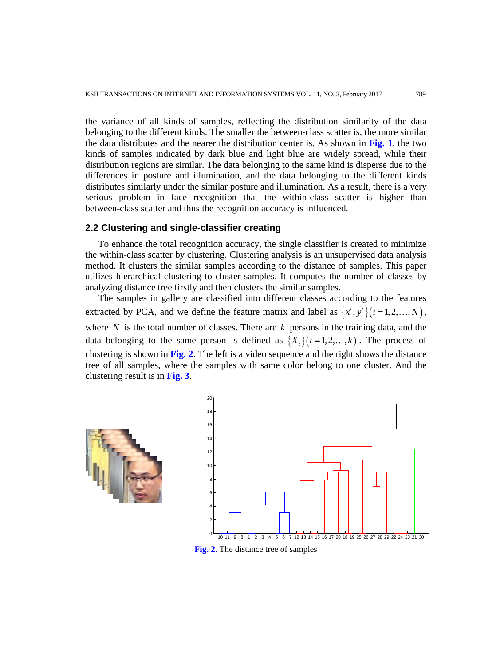the variance of all kinds of samples, reflecting the distribution similarity of the data belonging to the different kinds. The smaller the between-class scatter is, the more similar the data distributes and the nearer the distribution center is. As shown in **Fig. 1**, the two kinds of samples indicated by dark blue and light blue are widely spread, while their distribution regions are similar. The data belonging to the same kind is disperse due to the differences in posture and illumination, and the data belonging to the different kinds distributes similarly under the similar posture and illumination. As a result, there is a very serious problem in face recognition that the within-class scatter is higher than between-class scatter and thus the recognition accuracy is influenced.

## **2.2 Clustering and single-classifier creating**

To enhance the total recognition accuracy, the single classifier is created to minimize the within-class scatter by clustering. Clustering analysis is an unsupervised data analysis method. It clusters the similar samples according to the distance of samples. This paper utilizes hierarchical clustering to cluster samples. It computes the number of classes by analyzing distance tree firstly and then clusters the similar samples.

The samples in gallery are classified into different classes according to the features extracted by PCA, and we define the feature matrix and label as  $\{x^i, y^i\}$  ( $i = 1, 2, ..., N$ ), where  $N$  is the total number of classes. There are  $k$  persons in the training data, and the data belonging to the same person is defined as  $\{X_i\}(t=1,2,\ldots,k)$ . The process of clustering is shown in **Fig. 2**. The left is a video sequence and the right shows the distance tree of all samples, where the samples with same color belong to one cluster. And the clustering result is in **Fig. 3**.



**Fig. 2.** The distance tree of samples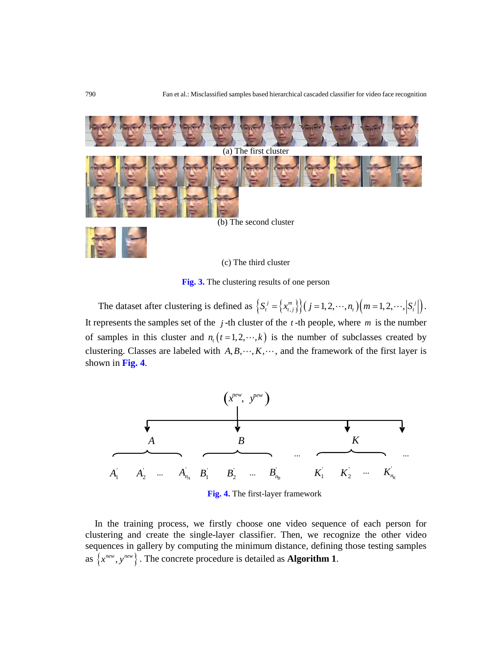

(c) The third cluster

**Fig. 3.** The clustering results of one person

The dataset after clustering is defined as  $\left\{ S_t^j = \left\{ x_{t,j}^m \right\} \right\} (j = 1, 2, \dots, n_t) (m = 1, 2, \dots, |S_t^j|).$ It represents the samples set of the  $j$ -th cluster of the  $t$ -th people, where  $m$  is the number of samples in this cluster and  $n_t$   $(t=1,2,\dots,k)$  is the number of subclasses created by clustering. Classes are labeled with  $A, B, \dots, K, \dots$ , and the framework of the first layer is shown in **Fig. 4**.



**Fig. 4.** The first-layer framework

In the training process, we firstly choose one video sequence of each person for clustering and create the single-layer classifier. Then, we recognize the other video sequences in gallery by computing the minimum distance, defining those testing samples as  $\{x^{new}, y^{new}\}\$ . The concrete procedure is detailed as **Algorithm 1**.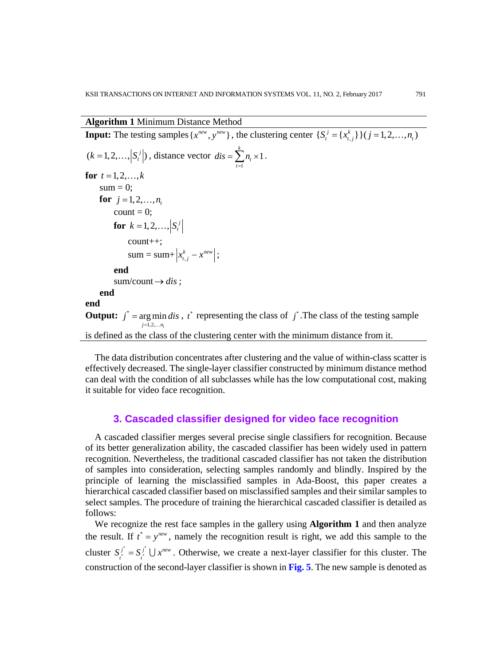# **Algorithm 1** Minimum Distance Method

**Input:** The testing samples  $\{x^{new}, y^{new}\}\}\$ , the clustering center  $\{S_t^j = \{x_{t,j}^k\}\}\$   $(j = 1, 2, ..., n_t)$  $(k = 1, 2, \ldots, |S_t^j|)$ , distance vector  $dis = \sum_{t=1}^k n_t \times 1$  $\sum_{t=1}^{\infty}$ <sup> $n_t$ </sup>  $dis = \sum n$  $=\sum_{t=1}^n n_t \times 1$ . **for**  $t = 1, 2, ..., k$  $sum = 0$ : **for**  $j = 1, 2, ..., n$ count  $= 0$ ; **for**  $k = 1, 2, ..., S_t^j$  count++;  $sum = sum + \left| x_{t,j}^k - x^{new} \right|;$  **end**  $sum/count \rightarrow dis$ ; **end end Output:**  $j^* = \arg \min_j dis$ ,  $t^*$  representing the class of  $j^*$ . The class of the testing sample 1,2,  $j = 1, 2, \ldots n_{n}$ = . . . is defined as the class of the clustering center with the minimum distance from it.

The data distribution concentrates after clustering and the value of within-class scatter is effectively decreased. The single-layer classifier constructed by minimum distance method can deal with the condition of all subclasses while has the low computational cost, making it suitable for video face recognition.

## **3. Cascaded classifier designed for video face recognition**

A cascaded classifier merges several precise single classifiers for recognition. Because of its better generalization ability, the cascaded classifier has been widely used in pattern recognition. Nevertheless, the traditional cascaded classifier has not taken the distribution of samples into consideration, selecting samples randomly and blindly. Inspired by the principle of learning the misclassified samples in Ada-Boost, this paper creates a hierarchical cascaded classifier based on misclassified samples and their similar samples to select samples. The procedure of training the hierarchical cascaded classifier is detailed as follows:

We recognize the rest face samples in the gallery using **Algorithm 1** and then analyze the result. If  $t^* = y^{new}$ , namely the recognition result is right, we add this sample to the cluster  $S_i^j = S_i^j \cup x^{new}$ . Otherwise, we create a next-layer classifier for this cluster. The construction of the second-layer classifier is shown in **Fig. 5**. The new sample is denoted as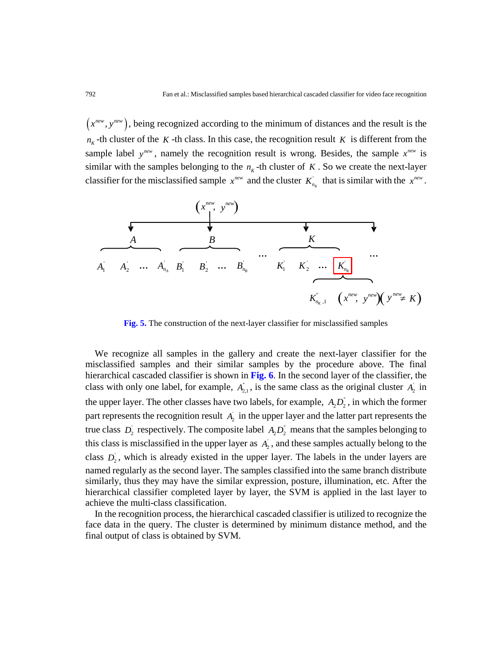$(x^{new}, y^{new})$ , being recognized according to the minimum of distances and the result is the  $n_k$ -th cluster of the *K* -th class. In this case, the recognition result *K* is different from the sample label  $y^{new}$ , namely the recognition result is wrong. Besides, the sample  $x^{new}$  is similar with the samples belonging to the  $n<sub>k</sub>$ -th cluster of *K*. So we create the next-layer classifier for the misclassified sample  $x^{new}$  and the cluster  $K_{n_k}$  that is similar with the  $x^{new}$ .



**Fig. 5.** The construction of the next-layer classifier for misclassified samples

We recognize all samples in the gallery and create the next-layer classifier for the misclassified samples and their similar samples by the procedure above. The final hierarchical cascaded classifier is shown in **Fig. 6**. In the second layer of the classifier, the class with only one label, for example,  $A_{2,1}$ , is the same class as the original cluster  $A_2$  in the upper layer. The other classes have two labels, for example,  $A_2D_2^2$ , in which the former part represents the recognition result  $A<sub>2</sub>$  in the upper layer and the latter part represents the true class  $D_2$  respectively. The composite label  $A_2D_2$  means that the samples belonging to this class is misclassified in the upper layer as  $A<sub>2</sub>$ , and these samples actually belong to the class  $D_2$ , which is already existed in the upper layer. The labels in the under layers are named regularly as the second layer. The samples classified into the same branch distribute similarly, thus they may have the similar expression, posture, illumination, etc. After the hierarchical classifier completed layer by layer, the SVM is applied in the last layer to achieve the multi-class classification.

In the recognition process, the hierarchical cascaded classifier is utilized to recognize the face data in the query. The cluster is determined by minimum distance method, and the final output of class is obtained by SVM.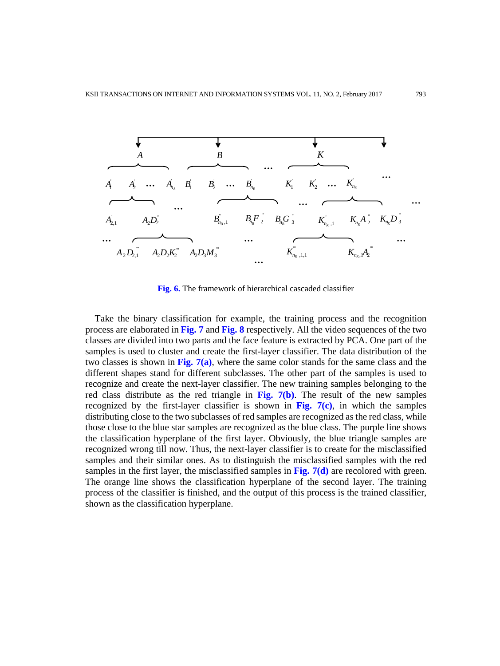

**Fig. 6.** The framework of hierarchical cascaded classifier

Take the binary classification for example, the training process and the recognition process are elaborated in **Fig. 7** and **Fig. 8** respectively. All the video sequences of the two classes are divided into two parts and the face feature is extracted by PCA. One part of the samples is used to cluster and create the first-layer classifier. The data distribution of the two classes is shown in Fig.  $7(a)$ , where the same color stands for the same class and the different shapes stand for different subclasses. The other part of the samples is used to recognize and create the next-layer classifier. The new training samples belonging to the red class distribute as the red triangle in **Fig. 7(b)**. The result of the new samples recognized by the first-layer classifier is shown in **Fig. 7(c)**, in which the samples distributing close to the two subclasses of red samples are recognized as the red class, while those close to the blue star samples are recognized as the blue class. The purple line shows the classification hyperplane of the first layer. Obviously, the blue triangle samples are recognized wrong till now. Thus, the next-layer classifier is to create for the misclassified samples and their similar ones. As to distinguish the misclassified samples with the red samples in the first layer, the misclassified samples in **Fig. 7(d)** are recolored with green. The orange line shows the classification hyperplane of the second layer. The training process of the classifier is finished, and the output of this process is the trained classifier, shown as the classification hyperplane.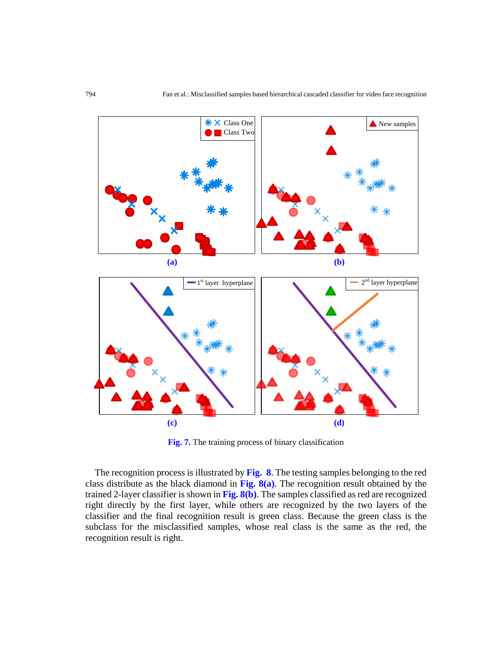

**Fig. 7.** The training process of binary classification

The recognition process is illustrated by **Fig. 8**. The testing samples belonging to the red class distribute as the black diamond in **Fig. 8(a)**. The recognition result obtained by the trained 2-layer classifier is shown in **Fig. 8(b)**. The samples classified as red are recognized right directly by the first layer, while others are recognized by the two layers of the classifier and the final recognition result is green class. Because the green class is the subclass for the misclassified samples, whose real class is the same as the red, the recognition result is right.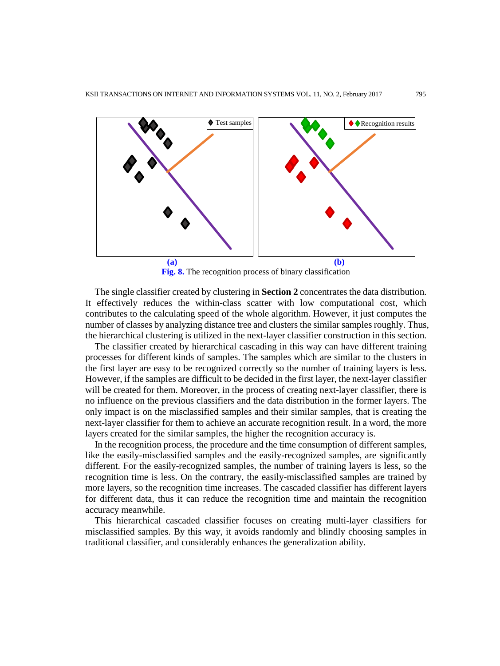

**Fig. 8.** The recognition process of binary classification

The single classifier created by clustering in **Section 2** concentrates the data distribution. It effectively reduces the within-class scatter with low computational cost, which contributes to the calculating speed of the whole algorithm. However, it just computes the number of classes by analyzing distance tree and clusters the similar samples roughly. Thus, the hierarchical clustering is utilized in the next-layer classifier construction in this section.

The classifier created by hierarchical cascading in this way can have different training processes for different kinds of samples. The samples which are similar to the clusters in the first layer are easy to be recognized correctly so the number of training layers is less. However, if the samples are difficult to be decided in the first layer, the next-layer classifier will be created for them. Moreover, in the process of creating next-layer classifier, there is no influence on the previous classifiers and the data distribution in the former layers. The only impact is on the misclassified samples and their similar samples, that is creating the next-layer classifier for them to achieve an accurate recognition result. In a word, the more layers created for the similar samples, the higher the recognition accuracy is.

In the recognition process, the procedure and the time consumption of different samples, like the easily-misclassified samples and the easily-recognized samples, are significantly different. For the easily-recognized samples, the number of training layers is less, so the recognition time is less. On the contrary, the easily-misclassified samples are trained by more layers, so the recognition time increases. The cascaded classifier has different layers for different data, thus it can reduce the recognition time and maintain the recognition accuracy meanwhile.

This hierarchical cascaded classifier focuses on creating multi-layer classifiers for misclassified samples. By this way, it avoids randomly and blindly choosing samples in traditional classifier, and considerably enhances the generalization ability.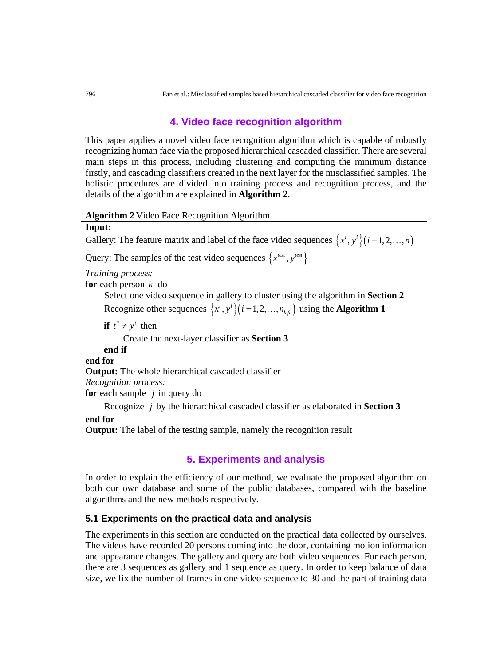# **4. Video face recognition algorithm**

This paper applies a novel video face recognition algorithm which is capable of robustly recognizing human face via the proposed hierarchical cascaded classifier. There are several main steps in this process, including clustering and computing the minimum distance firstly, and cascading classifiers created in the next layer for the misclassified samples. The holistic procedures are divided into training process and recognition process, and the details of the algorithm are explained in **Algorithm 2**.

**Algorithm 2** Video Face Recognition Algorithm

#### **Input:**

Gallery: The feature matrix and label of the face video sequences  $\{x^i, y^i\}$  ( $i = 1, 2, ..., n$ )

Query: The samples of the test video sequences  $\{x^{test}, y^{test}\}\}$ 

*Training process:*

**for** each person *k* do

Select one video sequence in gallery to cluster using the algorithm in **Section 2** Recognize other sequences  $\{x^i, y^i\}$   $(i = 1, 2, ..., n_{left})$  using the **Algorithm 1** 

**if**  $t^* \neq y^i$  then

Create the next-layer classifier as **Section 3**

**end if**

**end for**

**Output:** The whole hierarchical cascaded classifier

*Recognition process:*

**for** each sample *j* in query do

Recognize *j* by the hierarchical cascaded classifier as elaborated in **Section 3**

#### **end for**

**Output:** The label of the testing sample, namely the recognition result

# **5. Experiments and analysis**

In order to explain the efficiency of our method, we evaluate the proposed algorithm on both our own database and some of the public databases, compared with the baseline algorithms and the new methods respectively.

## **5.1 Experiments on the practical data and analysis**

The experiments in this section are conducted on the practical data collected by ourselves. The videos have recorded 20 persons coming into the door, containing motion information and appearance changes. The gallery and query are both video sequences. For each person, there are 3 sequences as gallery and 1 sequence as query. In order to keep balance of data size, we fix the number of frames in one video sequence to 30 and the part of training data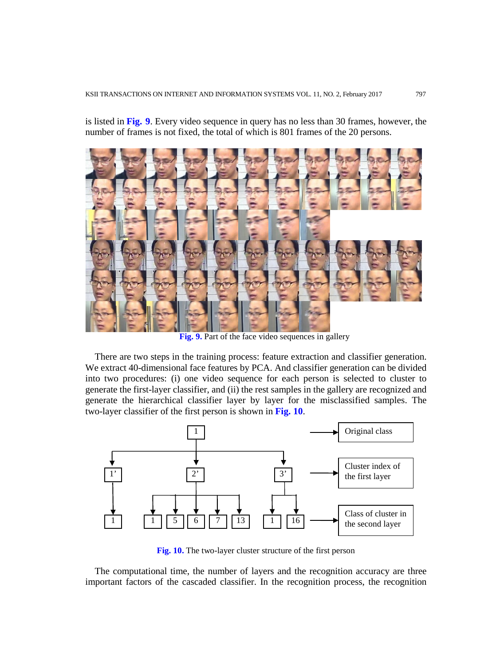is listed in **Fig. 9**. Every video sequence in query has no less than 30 frames, however, the number of frames is not fixed, the total of which is 801 frames of the 20 persons.



**Fig. 9.** Part of the face video sequences in gallery

There are two steps in the training process: feature extraction and classifier generation. We extract 40-dimensional face features by PCA. And classifier generation can be divided into two procedures: (i) one video sequence for each person is selected to cluster to generate the first-layer classifier, and (ii) the rest samples in the gallery are recognized and generate the hierarchical classifier layer by layer for the misclassified samples. The two-layer classifier of the first person is shown in **Fig. 10**.



**Fig. 10.** The two-layer cluster structure of the first person

The computational time, the number of layers and the recognition accuracy are three important factors of the cascaded classifier. In the recognition process, the recognition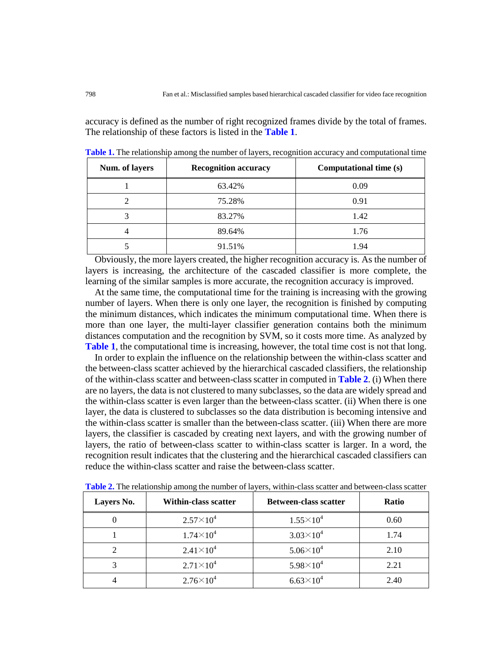accuracy is defined as the number of right recognized frames divide by the total of frames. The relationship of these factors is listed in the **Table 1**.

| Num. of layers | <b>Recognition accuracy</b> | Computational time (s) |  |
|----------------|-----------------------------|------------------------|--|
|                | 63.42%                      | 0.09                   |  |
|                | 75.28%                      | 0.91                   |  |
|                | 83.27%                      | 1.42                   |  |
|                | 89.64%                      | 1.76                   |  |
|                | 91.51%                      | 1.94                   |  |

**Table 1.** The relationship among the number of layers, recognition accuracy and computational time

Obviously, the more layers created, the higher recognition accuracy is. As the number of layers is increasing, the architecture of the cascaded classifier is more complete, the learning of the similar samples is more accurate, the recognition accuracy is improved.

At the same time, the computational time for the training is increasing with the growing number of layers. When there is only one layer, the recognition is finished by computing the minimum distances, which indicates the minimum computational time. When there is more than one layer, the multi-layer classifier generation contains both the minimum distances computation and the recognition by SVM, so it costs more time. As analyzed by **Table 1**, the computational time is increasing, however, the total time cost is not that long.

In order to explain the influence on the relationship between the within-class scatter and the between-class scatter achieved by the hierarchical cascaded classifiers, the relationship of the within-class scatter and between-class scatter in computed in **Table 2**. (i) When there are no layers, the data is not clustered to many subclasses, so the data are widely spread and the within-class scatter is even larger than the between-class scatter. (ii) When there is one layer, the data is clustered to subclasses so the data distribution is becoming intensive and the within-class scatter is smaller than the between-class scatter. (iii) When there are more layers, the classifier is cascaded by creating next layers, and with the growing number of layers, the ratio of between-class scatter to within-class scatter is larger. In a word, the recognition result indicates that the clustering and the hierarchical cascaded classifiers can reduce the within-class scatter and raise the between-class scatter.

| <b>Layers No.</b> | Within-class scatter | <b>Between-class scatter</b> | <b>Ratio</b> |
|-------------------|----------------------|------------------------------|--------------|
|                   | $2.57\times10^{4}$   | $1.55\times10^{4}$           | 0.60         |
|                   | $1.74\times10^{4}$   | $3.03\times10^{4}$           | 1.74         |
|                   | $2.41\times10^{4}$   | $5.06\times10^{4}$           | 2.10         |
|                   | $2.71\times10^{4}$   | $5.98\times10^{4}$           | 2.21         |
|                   | $2.76 \times 10^4$   | $6.63\times10^{4}$           | 2.40         |

**Table 2.** The relationship among the number of layers, within-class scatter and between-class scatter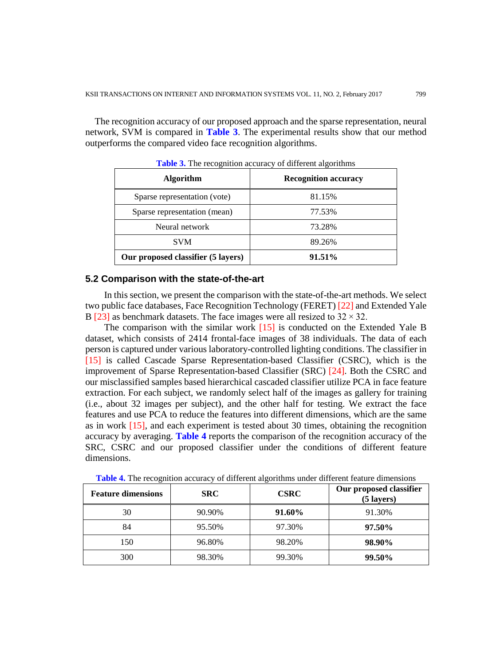The recognition accuracy of our proposed approach and the sparse representation, neural network, SVM is compared in **Table 3**. The experimental results show that our method outperforms the compared video face recognition algorithms.

| $\cdots$ . The recognition accuracy or which algorithms |                             |  |  |
|---------------------------------------------------------|-----------------------------|--|--|
| <b>Algorithm</b>                                        | <b>Recognition accuracy</b> |  |  |
| Sparse representation (vote)                            | 81.15%                      |  |  |
| Sparse representation (mean)                            | 77.53%                      |  |  |
| Neural network                                          | 73.28%                      |  |  |
| <b>SVM</b>                                              | 89.26%                      |  |  |
| Our proposed classifier (5 layers)                      | 91.51%                      |  |  |

**Table 3.** The recognition accuracy of different algorithms

## **5.2 Comparison with the state-of-the-art**

In this section, we present the comparison with the state-of-the-art methods. We select two public face databases, Face Recognition Technology (FERET) [22] and Extended Yale B [23] as benchmark datasets. The face images were all resized to  $32 \times 32$ .

The comparison with the similar work [15] is conducted on the Extended Yale B dataset, which consists of 2414 frontal-face images of 38 individuals. The data of each person is captured under various laboratory-controlled lighting conditions. The classifier in [15] is called Cascade Sparse Representation-based Classifier (CSRC), which is the improvement of Sparse Representation-based Classifier (SRC) [24]. Both the CSRC and our misclassified samples based hierarchical cascaded classifier utilize PCA in face feature extraction. For each subject, we randomly select half of the images as gallery for training (i.e., about 32 images per subject), and the other half for testing. We extract the face features and use PCA to reduce the features into different dimensions, which are the same as in work [15], and each experiment is tested about 30 times, obtaining the recognition accuracy by averaging. **Table 4** reports the comparison of the recognition accuracy of the SRC, CSRC and our proposed classifier under the conditions of different feature dimensions.

| <b>Feature dimensions</b> | <b>SRC</b> | <b>CSRC</b> | Our proposed classifier<br>$(5$ layers) |
|---------------------------|------------|-------------|-----------------------------------------|
| 30                        | 90.90%     | 91.60%      | 91.30%                                  |
| 84                        | 95.50%     | 97.30%      | 97.50%                                  |
| 150                       | 96.80%     | 98.20%      | 98.90%                                  |
| 300                       | 98.30%     | 99.30%      | 99.50%                                  |

**Table 4.** The recognition accuracy of different algorithms under different feature dimensions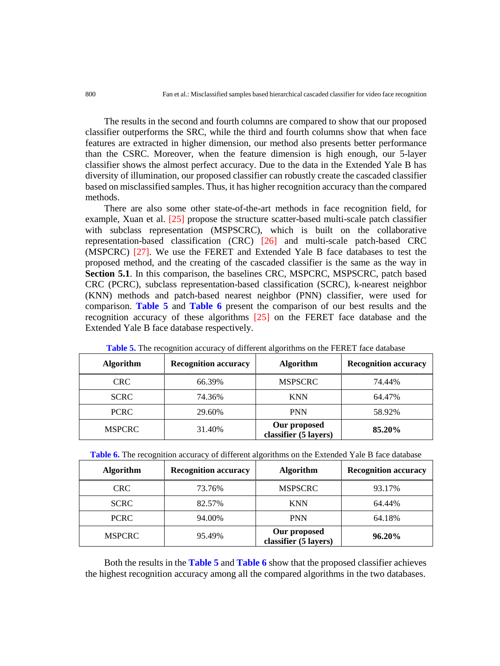The results in the second and fourth columns are compared to show that our proposed classifier outperforms the SRC, while the third and fourth columns show that when face features are extracted in higher dimension, our method also presents better performance than the CSRC. Moreover, when the feature dimension is high enough, our 5-layer classifier shows the almost perfect accuracy. Due to the data in the Extended Yale B has diversity of illumination, our proposed classifier can robustly create the cascaded classifier based on misclassified samples. Thus, it has higher recognition accuracy than the compared methods.

There are also some other state-of-the-art methods in face recognition field, for example, Xuan et al. [25] propose the structure scatter-based multi-scale patch classifier with subclass representation (MSPSCRC), which is built on the collaborative representation-based classification (CRC) [26] and multi-scale patch-based CRC (MSPCRC) [27]. We use the FERET and Extended Yale B face databases to test the proposed method, and the creating of the cascaded classifier is the same as the way in **Section 5.1**. In this comparison, the baselines CRC, MSPCRC, MSPSCRC, patch based CRC (PCRC), subclass representation-based classification (SCRC), k-nearest neighbor (KNN) methods and patch-based nearest neighbor (PNN) classifier, were used for comparison. **Table 5** and **Table 6** present the comparison of our best results and the recognition accuracy of these algorithms [25] on the FERET face database and the Extended Yale B face database respectively.

| <b>Algorithm</b> | <b>Recognition accuracy</b><br><b>Algorithm</b> |                                       | <b>Recognition accuracy</b> |  |  |
|------------------|-------------------------------------------------|---------------------------------------|-----------------------------|--|--|
| <b>CRC</b>       | 66.39%                                          | <b>MSPSCRC</b>                        | 74.44%                      |  |  |
| <b>SCRC</b>      | 74.36%                                          | <b>KNN</b>                            | 64.47%                      |  |  |
| <b>PCRC</b>      | 29.60%                                          | <b>PNN</b>                            | 58.92%                      |  |  |
| <b>MSPCRC</b>    | 31.40%                                          | Our proposed<br>classifier (5 layers) | 85.20%                      |  |  |

**Table 5.** The recognition accuracy of different algorithms on the FERET face database

| Table 6. The recognition accuracy of different algorithms on the Extended Yale B face database |  |  |  |
|------------------------------------------------------------------------------------------------|--|--|--|
|                                                                                                |  |  |  |

| <b>Algorithm</b> | <b>Recognition accuracy</b> | <b>Algorithm</b>                      | <b>Recognition accuracy</b> |
|------------------|-----------------------------|---------------------------------------|-----------------------------|
| <b>CRC</b>       | 73.76%                      | <b>MSPSCRC</b>                        | 93.17%                      |
| <b>SCRC</b>      | 82.57%                      | <b>KNN</b>                            | 64.44%                      |
| <b>PCRC</b>      | 94.00%                      | <b>PNN</b>                            | 64.18%                      |
| <b>MSPCRC</b>    | 95.49%                      | Our proposed<br>classifier (5 layers) | 96.20%                      |

Both the results in the **Table 5** and **Table 6** show that the proposed classifier achieves the highest recognition accuracy among all the compared algorithms in the two databases.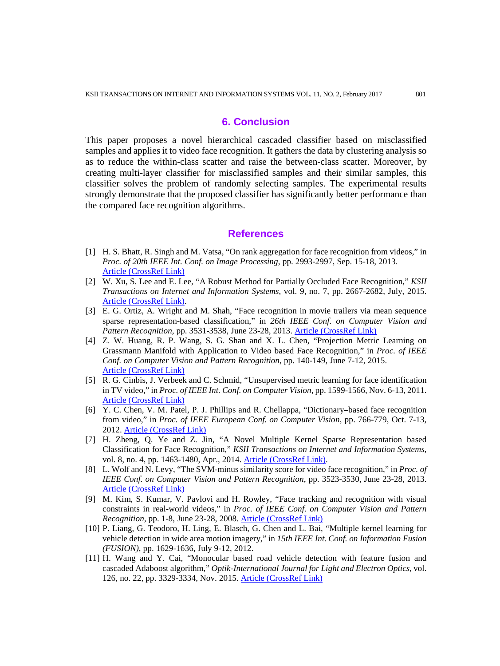## **6. Conclusion**

This paper proposes a novel hierarchical cascaded classifier based on misclassified samples and applies it to video face recognition. It gathers the data by clustering analysis so as to reduce the within-class scatter and raise the between-class scatter. Moreover, by creating multi-layer classifier for misclassified samples and their similar samples, this classifier solves the problem of randomly selecting samples. The experimental results strongly demonstrate that the proposed classifier has significantly better performance than the compared face recognition algorithms.

## **References**

- [1] H. S. Bhatt, R. Singh and M. Vatsa, "On rank aggregation for face recognition from videos," in *Proc. of 20th IEEE Int. Conf. on Image Processing*, pp. 2993-2997, Sep. 15-18, 2013. [Article \(CrossRef Link\)](http://dx.doi.org/10.1109/icip.2013.6738616)
- [2] W. Xu, S. Lee and E. Lee, "A Robust Method for Partially Occluded Face Recognition," *KSII Transactions on Internet and Information Systems*, vol. 9, no. 7, pp. 2667-2682, July, 2015. [Article \(CrossRef Link\).](http://dx.doi.org/10.3837/tiis.2015.07.019)
- [3] E. G. Ortiz, A. Wright and M. Shah, "Face recognition in movie trailers via mean sequence sparse representation-based classification," in *26th IEEE Conf. on Computer Vision and Pattern Recognition*, pp. 3531-3538, June 23-28, 2013. [Article \(CrossRef Link\)](http://dx.doi.org/10.1109/cvpr.2013.453)
- [4] Z. W. Huang, R. P. Wang, S. G. Shan and X. L. Chen, "Projection Metric Learning on Grassmann Manifold with Application to Video based Face Recognition," in *Proc. of IEEE Conf. on Computer Vision and Pattern Recognition*, pp. 140-149, June 7-12, 2015. [Article \(CrossRef Link\)](http://dx.doi.org/10.1109/cvpr.2015.7298609)
- [5] R. G. Cinbis, J. Verbeek and C. Schmid, "Unsupervised metric learning for face identification in TV video," in *Proc. of IEEE Int. Conf. on Computer Vision*, pp. 1599-1566, Nov. 6-13, 2011. [Article \(CrossRef Link\)](http://dx.doi.org/10.1109/iccv.2011.6126415)
- [6] Y. C. Chen, V. M. Patel, P. J. Phillips and R. Chellappa, "Dictionary–based face recognition from video," in *Proc. of IEEE European Conf. on Computer Vision*, pp. 766-779, Oct. 7-13, 2012. [Article \(CrossRef Link\)](http://dx.doi.org/10.1007/978-3-642-33783-3_55)
- [7] H. Zheng, Q. Ye and Z. Jin, "A Novel Multiple Kernel Sparse Representation based Classification for Face Recognition," *KSII Transactions on Internet and Information Systems*, vol. 8, no. 4, pp. 1463-1480, Apr., 2014[. Article \(CrossRef Link\).](http://dx.doi.org/doi:10.3837/tiis.2014.04.017)
- [8] L. Wolf and N. Levy, "The SVM-minus similarity score for video face recognition," in *Proc. of IEEE Conf. on Computer Vision and Pattern Recognition*, pp. 3523-3530, June 23-28, 2013. [Article \(CrossRef Link\)](http://dx.doi.org/10.1109/cvpr.2013.452)
- [9] M. Kim, S. Kumar, V. Pavlovi and H. Rowley, "Face tracking and recognition with visual constraints in real-world videos," in *Proc. of IEEE Conf. on Computer Vision and Pattern Recognition*, pp. 1-8, June 23-28, 2008. [Article \(CrossRef Link\)](http://dx.doi.org/10.1109/CVPR.2008.4587572)
- [10] P. Liang, G. Teodoro, H. Ling, E. Blasch, G. Chen and L. Bai, "Multiple kernel learning for vehicle detection in wide area motion imagery," in *15th IEEE Int. Conf. on Information Fusion (FUSION)*, pp. 1629-1636, July 9-12, 2012.
- [11] H. Wang and Y. Cai, "Monocular based road vehicle detection with feature fusion and cascaded Adaboost algorithm," *Optik-International Journal for Light and Electron Optics*, vol. 126, no. 22, pp. 3329-3334, Nov. 2015. [Article \(CrossRef Link\)](http://dx.doi.org/10.1016/j.ijleo.2015.08.018)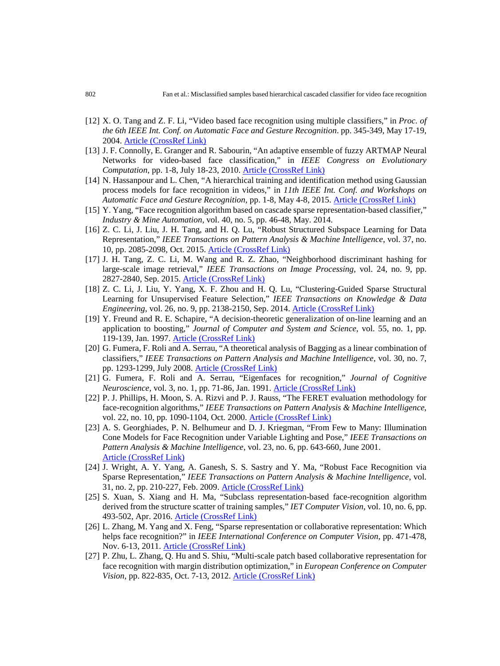- [12] X. O. Tang and Z. F. Li, "Video based face recognition using multiple classifiers," in *Proc. of the 6th IEEE Int. Conf. on Automatic Face and Gesture Recognition*. pp. 345-349, May 17-19, 2004. [Article \(CrossRef Link\)](http://dx.doi.org/10.1109/AFGR.2004.1301555)
- [13] J. F. Connolly, E. Granger and R. Sabourin, "An adaptive ensemble of fuzzy ARTMAP Neural Networks for video-based face classification," in *IEEE Congress on Evolutionary Computation*, pp. 1-8, July 18-23, 2010. [Article \(CrossRef Link\)](http://dx.doi.org/10.1109/cec.2010.5585941)
- [14] N. Hassanpour and L. Chen, "A hierarchical training and identification method using Gaussian process models for face recognition in videos," in *11th IEEE Int. Conf. and Workshops on Automatic Face and Gesture Recognition*, pp. 1-8, May 4-8, 2015. [Article \(CrossRef Link\)](http://dx.doi.org/10.1109/fg.2015.7163097)
- [15] Y. Yang, "Face recognition algorithm based on cascade sparse representation-based classifier," *Industry & Mine Automation*, vol. 40, no. 5, pp. 46-48, May. 2014.
- [16] Z. C. Li, J. Liu, J. H. Tang, and H. Q. Lu, "Robust Structured Subspace Learning for Data Representation," *IEEE Transactions on Pattern Analysis & Machine Intelligence*, vol. 37, no. 10, pp. 2085-2098, Oct. 2015. [Article \(CrossRef Link\)](http://dx.doi.org/10.1109/TPAMI.2015.2400461)
- [17] J. H. Tang, Z. C. Li, M. Wang and R. Z. Zhao, "Neighborhood discriminant hashing for large-scale image retrieval," *IEEE Transactions on Image Processing,* vol. 24, no. 9, pp. 2827-2840, Sep. 2015. [Article \(CrossRef Link\)](http://dx.doi.org/10.1109/TIP.2015.2421443)
- [18] Z. C. Li, J. Liu, Y. Yang, X. F. Zhou and H. Q. Lu, "Clustering-Guided Sparse Structural Learning for Unsupervised Feature Selection," *IEEE Transactions on Knowledge & Data Engineering*, vol. 26, no. 9, pp. 2138-2150, Sep. 2014. **[Article \(CrossRef Link\)](http://dx.doi.org/10.1109/TKDE.2013.65)**
- [19] Y. Freund and R. E. Schapire, "A decision-theoretic generalization of on-line learning and an application to boosting," *Journal of Computer and System and Science*, vol. 55, no. 1, pp. 119-139, Jan. 1997. [Article \(CrossRef Link\)](http://dx.doi.org/10.1006/jcss.1997.1504)
- [20] G. Fumera, F. Roli and A. Serrau, "A theoretical analysis of Bagging as a linear combination of classifiers," *IEEE Transactions on Pattern Analysis and Machine Intelligence*, vol. 30, no. 7, pp. 1293-1299, July 2008. [Article \(CrossRef Link\)](http://dx.doi.org/10.1109/TPAMI.2008.30)
- [21] G. Fumera, F. Roli and A. Serrau, "Eigenfaces for recognition," *Journal of Cognitive Neuroscience*, vol. 3, no. 1, pp. 71-86, Jan. 1991. [Article \(CrossRef Link\)](http://dx.doi.org/10.1162/jocn.1991.3.1.71)
- [22] P. J. Phillips, H. Moon, S. A. Rizvi and P. J. Rauss, "The FERET evaluation methodology for face-recognition algorithms," *IEEE Transactions on Pattern Analysis & Machine Intelligence*, vol. 22, no. 10, pp. 1090-1104, Oct. 2000. [Article \(CrossRef Link\)](http://dx.doi.org/10.1109/34.879790)
- [23] A. S. Georghiades, P. N. Belhumeur and D. J. Kriegman, "From Few to Many: Illumination Cone Models for Face Recognition under Variable Lighting and Pose," *IEEE Transactions on Pattern Analysis & Machine Intelligence*, vol. 23, no. 6, pp. 643-660, June 2001. [Article \(CrossRef Link\)](http://dx.doi.org/10.1109/34.927464)
- [24] J. Wright, A. Y. Yang, A. Ganesh, [S. S. Sastry](http://ieeexplore.ieee.org/search/searchresult.jsp?searchWithin=%22Authors%22:.QT.S.%20Shankar%20Sastry.QT.&newsearch=true) and Y. Ma, "Robust Face Recognition via Sparse Representation," *IEEE Transactions on Pattern Analysis & Machine Intelligence*, vol. 31, no. 2, pp. 210-227, Feb. 2009. [Article \(CrossRef Link\)](http://dx.doi.org/10.1109/TPAMI.2008.79)
- [25] S. Xuan, S. Xiang and H. Ma, "Subclass representation-based face-recognition algorithm derived from the structure scatter of training samples," *IET Computer Vision*, vol. 10, no. 6, pp. 493-502, Apr. 2016. [Article \(CrossRef Link\)](http://dx.doi.org/10.1049/iet-cvi.2015.0350)
- [26] L. Zhang, M. Yang and X. Feng, "Sparse representation or collaborative representation: Which helps face recognition?" in *IEEE International Conference on Computer Vision*, pp. 471-478, Nov. 6-13, 2011. [Article \(CrossRef Link\)](http://dx.doi.org/10.1109/iccv.2011.6126277)
- [27] P. Zhu, L. Zhang, Q. Hu and S. Shiu, "Multi-scale patch based collaborative representation for face recognition with margin distribution optimization," in *European Conference on Computer Vision*, pp. 822-835, Oct. 7-13, 2012. [Article \(CrossRef Link\)](http://dx.doi.org/10.1007/978-3-642-33718-5_59)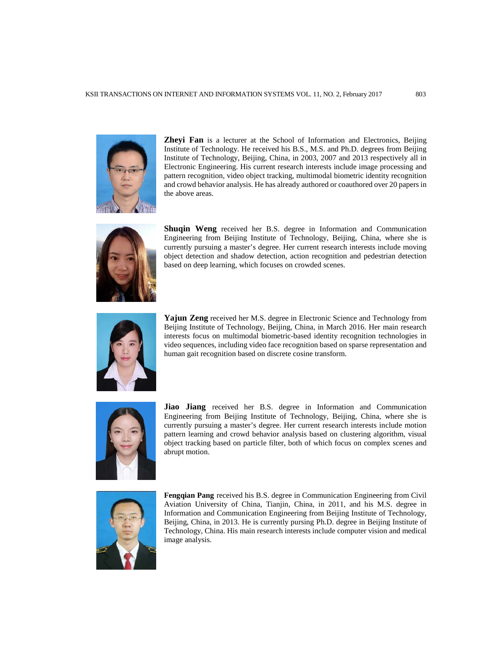

**Zheyi Fan** is a lecturer at the School of Information and Electronics, Beijing Institute of Technology. He received his B.S., M.S. and Ph.D. degrees from Beijing Institute of Technology, Beijing, China, in 2003, 2007 and 2013 respectively all in Electronic Engineering. His current research interests include image processing and pattern recognition, video object tracking, multimodal biometric identity recognition and crowd behavior analysis. He has already authored or coauthored over 20 papers in the above areas.



**Shuqin Weng** received her B.S. degree in Information and Communication Engineering from Beijing Institute of Technology, Beijing, China, where she is currently pursuing a master's degree. Her current research interests include moving object detection and shadow detection, action recognition and pedestrian detection based on deep learning, which focuses on crowded scenes.



**Yajun Zeng** received her M.S. degree in Electronic Science and Technology from Beijing Institute of Technology, Beijing, China, in March 2016. Her main research interests focus on multimodal biometric-based identity recognition technologies in video sequences, including video face recognition based on sparse representation and human gait recognition based on discrete cosine transform.



**Jiao Jiang** received her B.S. degree in Information and Communication Engineering from Beijing Institute of Technology, Beijing, China, where she is currently pursuing a master's degree. Her current research interests include motion pattern learning and crowd behavior analysis based on clustering algorithm, visual object tracking based on particle filter, both of which focus on complex scenes and abrupt motion.



**Fengqian Pang** received his B.S. degree in Communication Engineering from Civil Aviation University of China, Tianjin, China, in 2011, and his M.S. degree in Information and Communication Engineering from Beijing Institute of Technology, Beijing, China, in 2013. He is currently pursing Ph.D. degree in Beijing Institute of Technology, China. His main research interests include computer vision and medical image analysis.